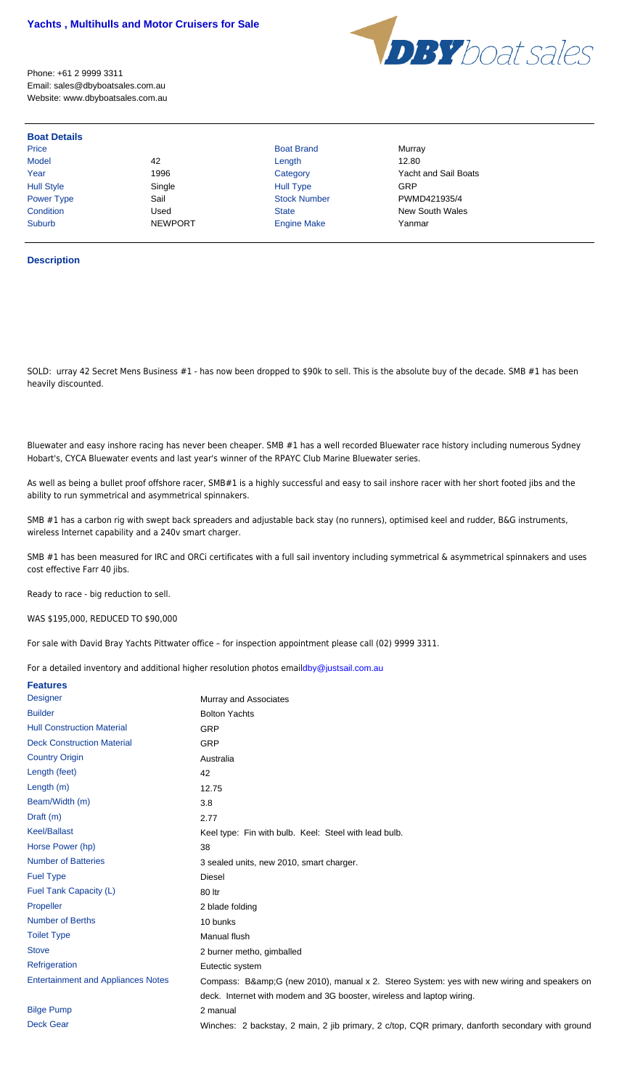Bluewater and easy inshore racing has never been cheaper. SMB #1 has a well recorded Bluewater race history including numer Hobart's, CYCA Bluewater events and last year's winner of the RPAYC Club Marine Bluewater series.

As well as being a bullet proof offshore racer, SMB#1 is a highly successful and easy to sail inshore racer with her short footed ji ability to run symmetrical and asymmetrical spinnakers.

SMB #1 has a carbon rig with swept back spreaders and adjustable back stay (no runners), optimised keel and rudder, B&G insti wireless Internet capability and a 240v smart charger.

SMB #1 has been measured for IRC and ORCi certificates with a full sail inventory including symmetrical & asymmetrical spinnal cost effective Farr 40 jibs.

Ready to race - big reduction to sell.

WAS \$195,000, REDUCED TO \$90,000

For sale with David Bray Yachts Pittwater office – for inspection appointment please call (02) 9999 3311.

For a detailed inventory and additional higher resolution photos emaildby@justsail.com.au

| <b>Features</b>                           |                                                                                    |
|-------------------------------------------|------------------------------------------------------------------------------------|
| <b>Designer</b>                           | Murray and Associates                                                              |
| <b>Builder</b>                            | <b>Bolton Yachts</b>                                                               |
| <b>Hull Construction Material</b>         | <b>GRP</b>                                                                         |
| <b>Deck Construction Material</b>         | <b>GRP</b>                                                                         |
| <b>Country Origin</b>                     | Australia                                                                          |
| Length (feet)                             | 42                                                                                 |
| Length (m)                                | 12.75                                                                              |
| Beam/Width (m)                            | 3.8                                                                                |
| Draft (m)                                 | 2.77                                                                               |
| <b>Keel/Ballast</b>                       | Keel type: Fin with bulb. Keel: Steel with lead bulb.                              |
| Horse Power (hp)                          | 38                                                                                 |
| <b>Number of Batteries</b>                | 3 sealed units, new 2010, smart charger.                                           |
| <b>Fuel Type</b>                          | <b>Diesel</b>                                                                      |
| Fuel Tank Capacity (L)                    | 80 ltr                                                                             |
| Propeller                                 | 2 blade folding                                                                    |
| <b>Number of Berths</b>                   | 10 bunks                                                                           |
| <b>Toilet Type</b>                        | Manual flush                                                                       |
| <b>Stove</b>                              | 2 burner metho, gimballed                                                          |
| Refrigeration                             | Eutectic system                                                                    |
| <b>Entertainment and Appliances Notes</b> | Compass: B&G (new 2010), manual x 2. Stereo System: yes with new wiring ar         |
|                                           | deck. Internet with modem and 3G booster, wireless and laptop wiring.              |
| <b>Bilge Pump</b>                         | 2 manual                                                                           |
| <b>Deck Gear</b>                          | Winches: 2 backstay, 2 main, 2 jib primary, 2 c/top, CQR primary, danforth seconda |